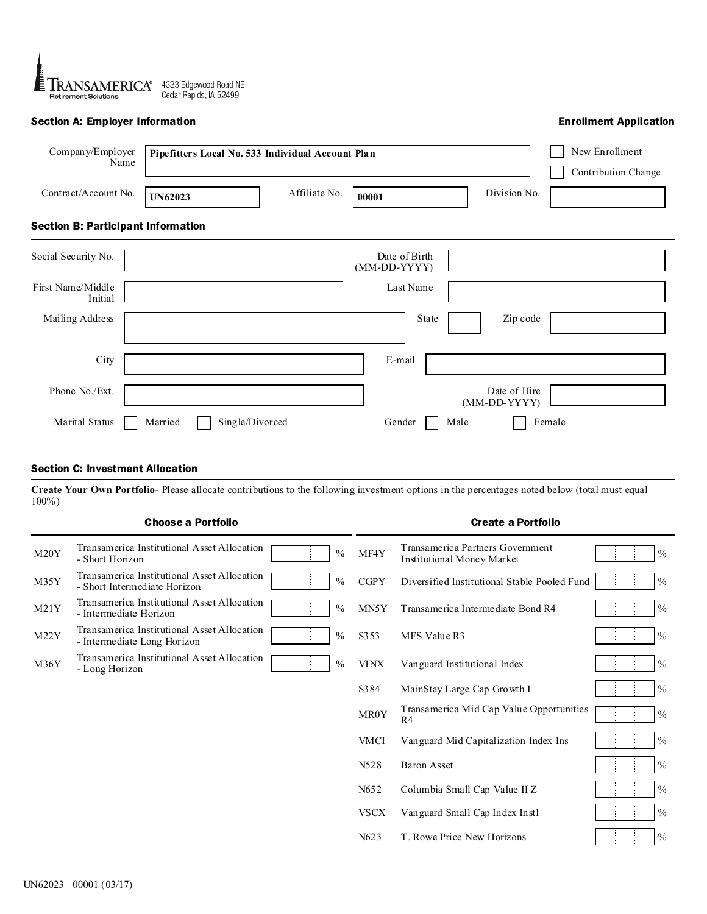

# Section A: Employer Information

### Enrollment Application

| Company/Employer<br>Name                  | Pipefitters Local No. 533 Individual Account Plan |                 | New Enrollment<br>Contribution Change |                              |        |
|-------------------------------------------|---------------------------------------------------|-----------------|---------------------------------------|------------------------------|--------|
| Contract/Account No.                      | <b>UN62023</b>                                    | Affiliate No.   | 00001                                 | Division No.                 |        |
| <b>Section B: Participant Information</b> |                                                   |                 |                                       |                              |        |
| Social Security No.                       |                                                   |                 | Date of Birth<br>(MM-DD-YYYY)         |                              |        |
| First Name/Middle<br>Initial              |                                                   |                 | Last Name                             |                              |        |
| Mailing Address                           |                                                   |                 | State                                 | Zip code                     |        |
| City                                      |                                                   |                 | E-mail                                |                              |        |
| Phone No./Ext.                            |                                                   |                 |                                       | Date of Hire<br>(MM-DD-YYYY) |        |
| Marital Status                            | Married                                           | Single/Divorced | Gender                                | Male                         | Female |

### Section C: Investment Allocation

**Create Your Own Portfolio**- Please allocate contributions to the following investment options in the percentages noted below (total must equal 100%)

## Choose a Portfolio Create a Portfolio

| M <sub>20</sub> Y | Transamerica Institutional Asset Allocation<br>- Short Horizon              | $\frac{0}{0}$ | MF4Y              | Transamerica Partners Government<br><b>Institutional Money Market</b> | $\frac{0}{0}$ |
|-------------------|-----------------------------------------------------------------------------|---------------|-------------------|-----------------------------------------------------------------------|---------------|
| M35Y              | Transamerica Institutional Asset Allocation<br>- Short Intermediate Horizon | $\frac{0}{0}$ | <b>CGPY</b>       | Diversified Institutional Stable Pooled Fund                          | $\frac{0}{0}$ |
| M21Y              | Transamerica Institutional Asset Allocation<br>- Intermediate Horizon       | $\frac{0}{0}$ | MN5Y              | Transamerica Intermediate Bond R4                                     | $\frac{0}{0}$ |
| M22Y              | Transamerica Institutional Asset Allocation<br>- Intermediate Long Horizon  | $\frac{0}{0}$ | S <sub>3</sub> 53 | MFS Value R3                                                          | $\frac{0}{0}$ |
| M36Y              | Transamerica Institutional Asset Allocation<br>- Long Horizon               | $\frac{0}{0}$ | <b>VINX</b>       | Vanguard Institutional Index                                          | $\frac{0}{0}$ |
|                   |                                                                             |               | S <sub>3</sub> 84 | MainStay Large Cap Growth I                                           | $\frac{0}{0}$ |
|                   |                                                                             |               | MR0Y              | Transamerica Mid Cap Value Opportunities<br>R <sub>4</sub>            | $\frac{0}{0}$ |
|                   |                                                                             |               | <b>VMCI</b>       | Vanguard Mid Capitalization Index Ins                                 | $\frac{0}{0}$ |
|                   |                                                                             |               | N528              | <b>Baron Asset</b>                                                    | $\frac{0}{0}$ |
|                   |                                                                             |               | N652              | Columbia Small Cap Value II Z                                         | $\frac{0}{0}$ |
|                   |                                                                             |               | <b>VSCX</b>       | Vanguard Small Cap Index Instl                                        | $\frac{0}{0}$ |
|                   |                                                                             |               | N623              | T. Rowe Price New Horizons                                            | $\frac{0}{0}$ |
|                   |                                                                             |               |                   |                                                                       |               |